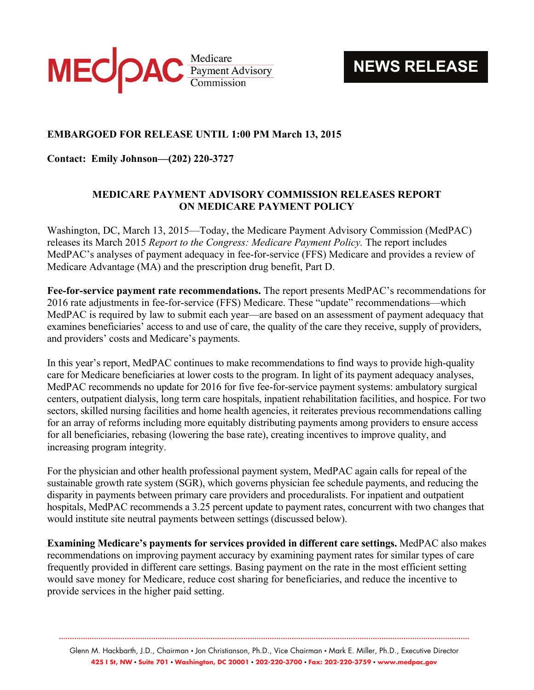

**NEWS RELEASE**

## **EMBARGOED FOR RELEASE UNTIL 1:00 PM March 13, 2015**

**Contact: Emily Johnson—(202) 220-3727** 

## **MEDICARE PAYMENT ADVISORY COMMISSION RELEASES REPORT ON MEDICARE PAYMENT POLICY**

Washington, DC, March 13, 2015—Today, the Medicare Payment Advisory Commission (MedPAC) releases its March 2015 *Report to the Congress: Medicare Payment Policy.* The report includes MedPAC's analyses of payment adequacy in fee-for-service (FFS) Medicare and provides a review of Medicare Advantage (MA) and the prescription drug benefit, Part D.

**Fee-for-service payment rate recommendations.** The report presents MedPAC's recommendations for 2016 rate adjustments in fee-for-service (FFS) Medicare. These "update" recommendations—which MedPAC is required by law to submit each year—are based on an assessment of payment adequacy that examines beneficiaries' access to and use of care, the quality of the care they receive, supply of providers, and providers' costs and Medicare's payments.

In this year's report, MedPAC continues to make recommendations to find ways to provide high-quality care for Medicare beneficiaries at lower costs to the program. In light of its payment adequacy analyses, MedPAC recommends no update for 2016 for five fee-for-service payment systems: ambulatory surgical centers, outpatient dialysis, long term care hospitals, inpatient rehabilitation facilities, and hospice. For two sectors, skilled nursing facilities and home health agencies, it reiterates previous recommendations calling for an array of reforms including more equitably distributing payments among providers to ensure access for all beneficiaries, rebasing (lowering the base rate), creating incentives to improve quality, and increasing program integrity.

For the physician and other health professional payment system, MedPAC again calls for repeal of the sustainable growth rate system (SGR), which governs physician fee schedule payments, and reducing the disparity in payments between primary care providers and proceduralists. For inpatient and outpatient hospitals, MedPAC recommends a 3.25 percent update to payment rates, concurrent with two changes that would institute site neutral payments between settings (discussed below).

**Examining Medicare's payments for services provided in different care settings.** MedPAC also makes recommendations on improving payment accuracy by examining payment rates for similar types of care frequently provided in different care settings. Basing payment on the rate in the most efficient setting would save money for Medicare, reduce cost sharing for beneficiaries, and reduce the incentive to provide services in the higher paid setting.

Glenn M. Hackbarth, J.D., Chairman • Jon Christianson, Ph.D., Vice Chairman • Mark E. Miller, Ph.D., Executive Director **425 I St, NW • Suite 701 • Washington, DC 20001 • 202-220-3700 • Fax: 202-220-3759 • www.medpac.gov** 

**...........................................................................................................................................................................................**